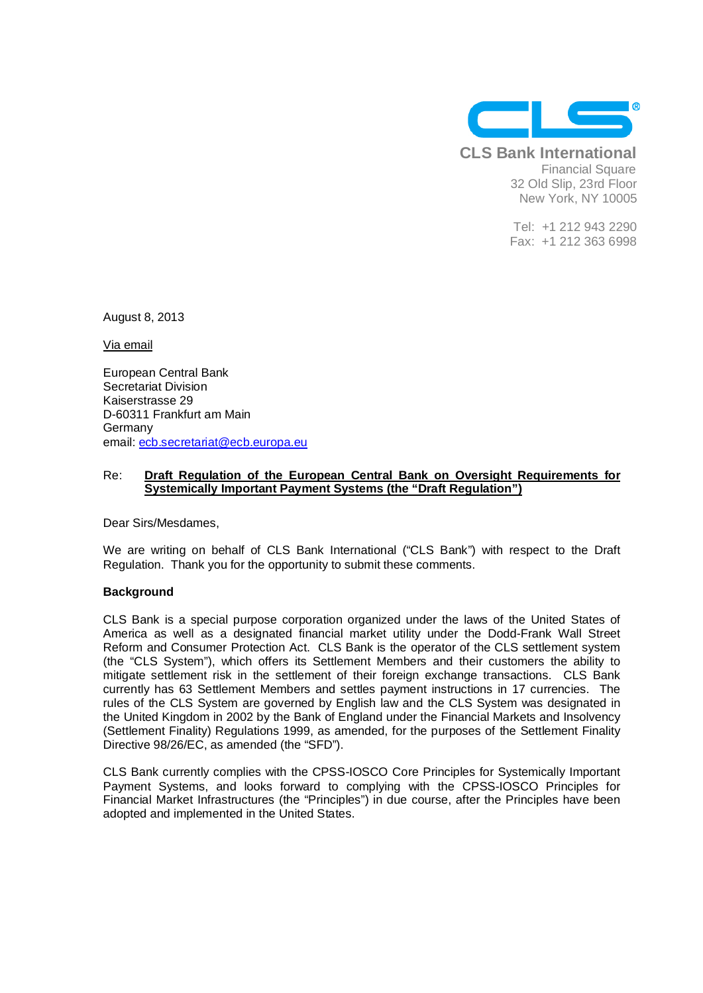

**CLS Bank International** Financial Square 32 Old Slip, 23rd Floor New York, NY 10005

> Tel: +1 212 943 2290 Fax: +1 212 363 6998

August 8, 2013

Via email

European Central Bank Secretariat Division Kaiserstrasse 29 D-60311 Frankfurt am Main Germany email: ecb.secretariat@ecb.europa.eu

## Re: **Draft Regulation of the European Central Bank on Oversight Requirements for Systemically Important Payment Systems (the "Draft Regulation")**

Dear Sirs/Mesdames,

We are writing on behalf of CLS Bank International ("CLS Bank") with respect to the Draft Regulation. Thank you for the opportunity to submit these comments.

## **Background**

CLS Bank is a special purpose corporation organized under the laws of the United States of America as well as a designated financial market utility under the Dodd-Frank Wall Street Reform and Consumer Protection Act. CLS Bank is the operator of the CLS settlement system (the "CLS System"), which offers its Settlement Members and their customers the ability to mitigate settlement risk in the settlement of their foreign exchange transactions. CLS Bank currently has 63 Settlement Members and settles payment instructions in 17 currencies. The rules of the CLS System are governed by English law and the CLS System was designated in the United Kingdom in 2002 by the Bank of England under the Financial Markets and Insolvency (Settlement Finality) Regulations 1999, as amended, for the purposes of the Settlement Finality Directive 98/26/EC, as amended (the "SFD").

CLS Bank currently complies with the CPSS-IOSCO Core Principles for Systemically Important Payment Systems, and looks forward to complying with the CPSS-IOSCO Principles for Financial Market Infrastructures (the "Principles") in due course, after the Principles have been adopted and implemented in the United States.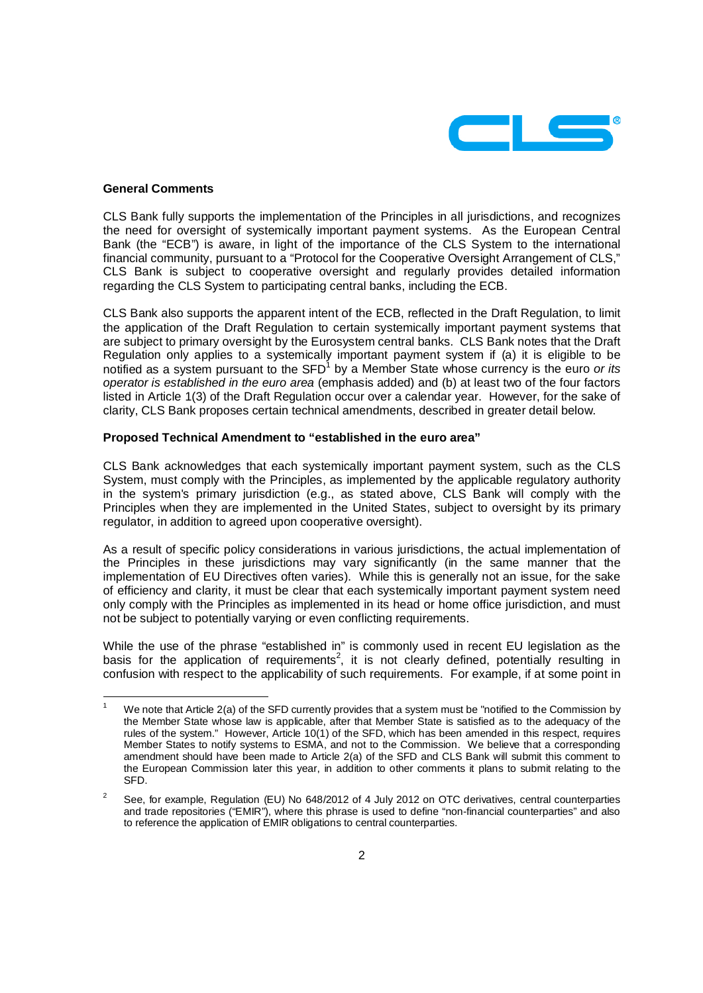

## **General Comments**

CLS Bank fully supports the implementation of the Principles in all jurisdictions, and recognizes the need for oversight of systemically important payment systems. As the European Central Bank (the "ECB") is aware, in light of the importance of the CLS System to the international financial community, pursuant to a "Protocol for the Cooperative Oversight Arrangement of CLS." CLS Bank is subject to cooperative oversight and regularly provides detailed information regarding the CLS System to participating central banks, including the ECB.

CLS Bank also supports the apparent intent of the ECB, reflected in the Draft Regulation, to limit the application of the Draft Regulation to certain systemically important payment systems that are subject to primary oversight by the Eurosystem central banks. CLS Bank notes that the Draft Regulation only applies to a systemically important payment system if (a) it is eligible to be notified as a system pursuant to the  $SFD<sup>1</sup>$  by a Member State whose currency is the euro or its operator is established in the euro area (emphasis added) and (b) at least two of the four factors listed in Article 1(3) of the Draft Regulation occur over a calendar year. However, for the sake of clarity, CLS Bank proposes certain technical amendments, described in greater detail below.

## **Proposed Technical Amendment to "established in the euro area"**

CLS Bank acknowledges that each systemically important payment system, such as the CLS System, must comply with the Principles, as implemented by the applicable regulatory authority in the system's primary jurisdiction (e.g., as stated above, CLS Bank will comply with the Principles when they are implemented in the United States, subject to oversight by its primary regulator, in addition to agreed upon cooperative oversight).

As a result of specific policy considerations in various jurisdictions, the actual implementation of the Principles in these jurisdictions may vary significantly (in the same manner that the implementation of EU Directives often varies). While this is generally not an issue, for the sake of efficiency and clarity, it must be clear that each systemically important payment system need only comply with the Principles as implemented in its head or home office jurisdiction, and must not be subject to potentially varying or even conflicting requirements.

While the use of the phrase "established in" is commonly used in recent EU legislation as the basis for the application of requirements<sup>2</sup>, it is not clearly defined, potentially resulting in confusion with respect to the applicability of such requirements. For example, if at some point in

 $\overline{a}$ 1 We note that Article 2(a) of the SFD currently provides that a system must be "notified to the Commission by the Member State whose law is applicable, after that Member State is satisfied as to the adequacy of the rules of the system." However, Article 10(1) of the SFD, which has been amended in this respect, requires Member States to notify systems to ESMA, and not to the Commission. We believe that a corresponding amendment should have been made to Article 2(a) of the SFD and CLS Bank will submit this comment to the European Commission later this year, in addition to other comments it plans to submit relating to the SFD.

 $\overline{2}$  See, for example, Regulation (EU) No 648/2012 of 4 July 2012 on OTC derivatives, central counterparties and trade repositories ("EMIR"), where this phrase is used to define "non-financial counterparties" and also to reference the application of EMIR obligations to central counterparties.